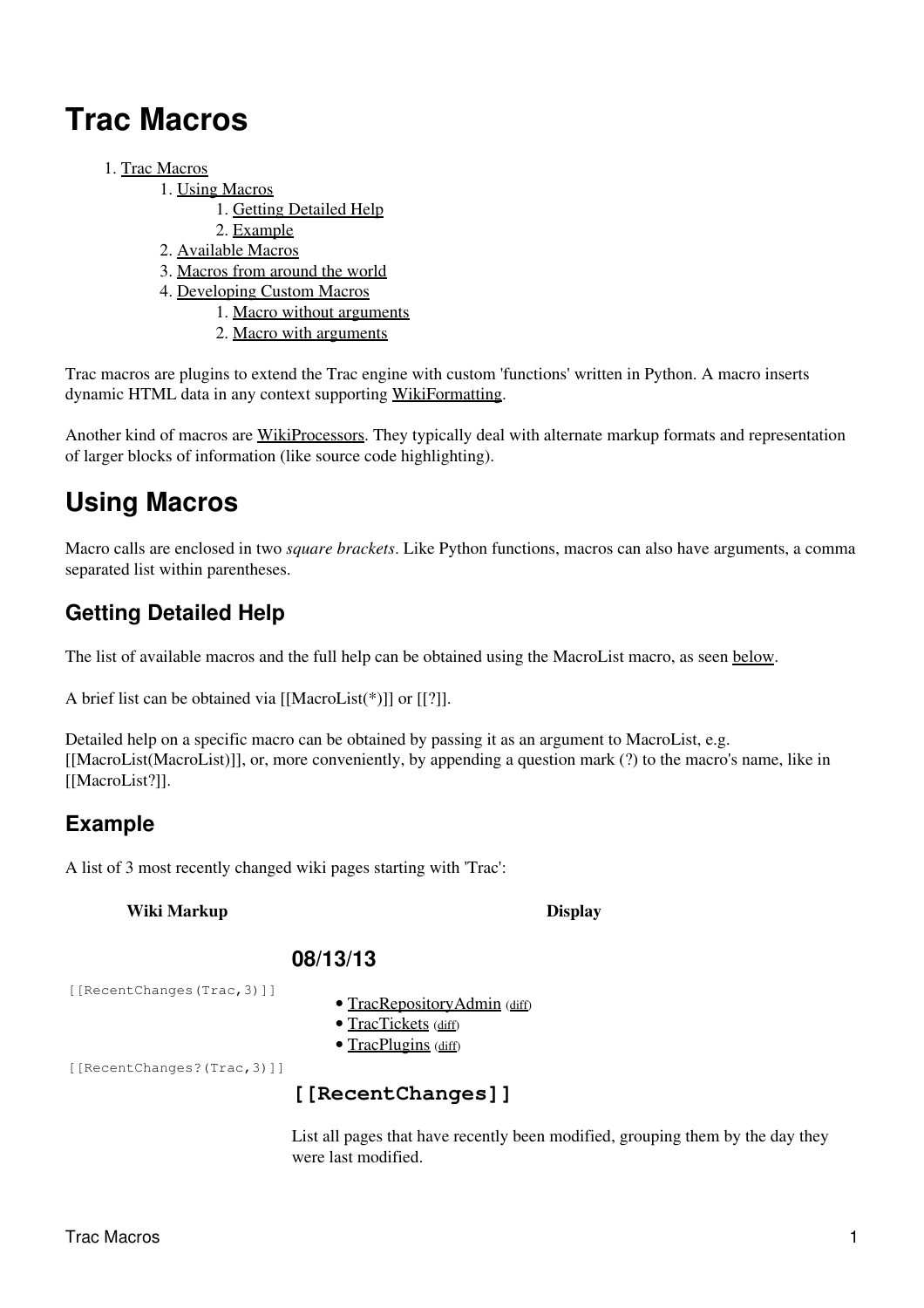# <span id="page-0-0"></span>**Trac Macros**

- 1. [Trac Macros](#page-0-0)
	- 1. [Using Macros](#page-0-1)
		- 1. [Getting Detailed Help](#page-0-2)
		- 2. [Example](#page-0-3)
	- 2. [Available Macros](#page-1-0)
	- 3. [Macros from around the world](#page-6-0)
	- 4. [Developing Custom Macros](#page-6-1)
		- 1. [Macro without arguments](#page-6-2)
		- 2. [Macro with arguments](#page-7-0)

Trac macros are plugins to extend the Trac engine with custom 'functions' written in Python. A macro inserts dynamic HTML data in any context supporting WikiFormatting.

Another kind of macros are WikiProcessors. They typically deal with alternate markup formats and representation of larger blocks of information (like source code highlighting).

# <span id="page-0-1"></span>**Using Macros**

Macro calls are enclosed in two *square brackets*. Like Python functions, macros can also have arguments, a comma separated list within parentheses.

### <span id="page-0-2"></span>**Getting Detailed Help**

The list of available macros and the full help can be obtained using the MacroList macro, as seen [below.](#page-1-0)

A brief list can be obtained via [[MacroList(\*)]] or [[?]].

Detailed help on a specific macro can be obtained by passing it as an argument to MacroList, e.g. [[MacroList(MacroList)]], or, more conveniently, by appending a question mark (?) to the macro's name, like in [[MacroList?]].

### <span id="page-0-3"></span>**Example**

A list of 3 most recently changed wiki pages starting with 'Trac':

#### **Wiki Markup Display**

#### **08/13/13**

[[RecentChanges(Trac,3)]]

- TracRepositoryAdmin (diff)
- TracTickets (diff)
- TracPlugins (diff)

[[RecentChanges?(Trac,3)]]

### **[[RecentChanges]]**

List all pages that have recently been modified, grouping them by the day they were last modified.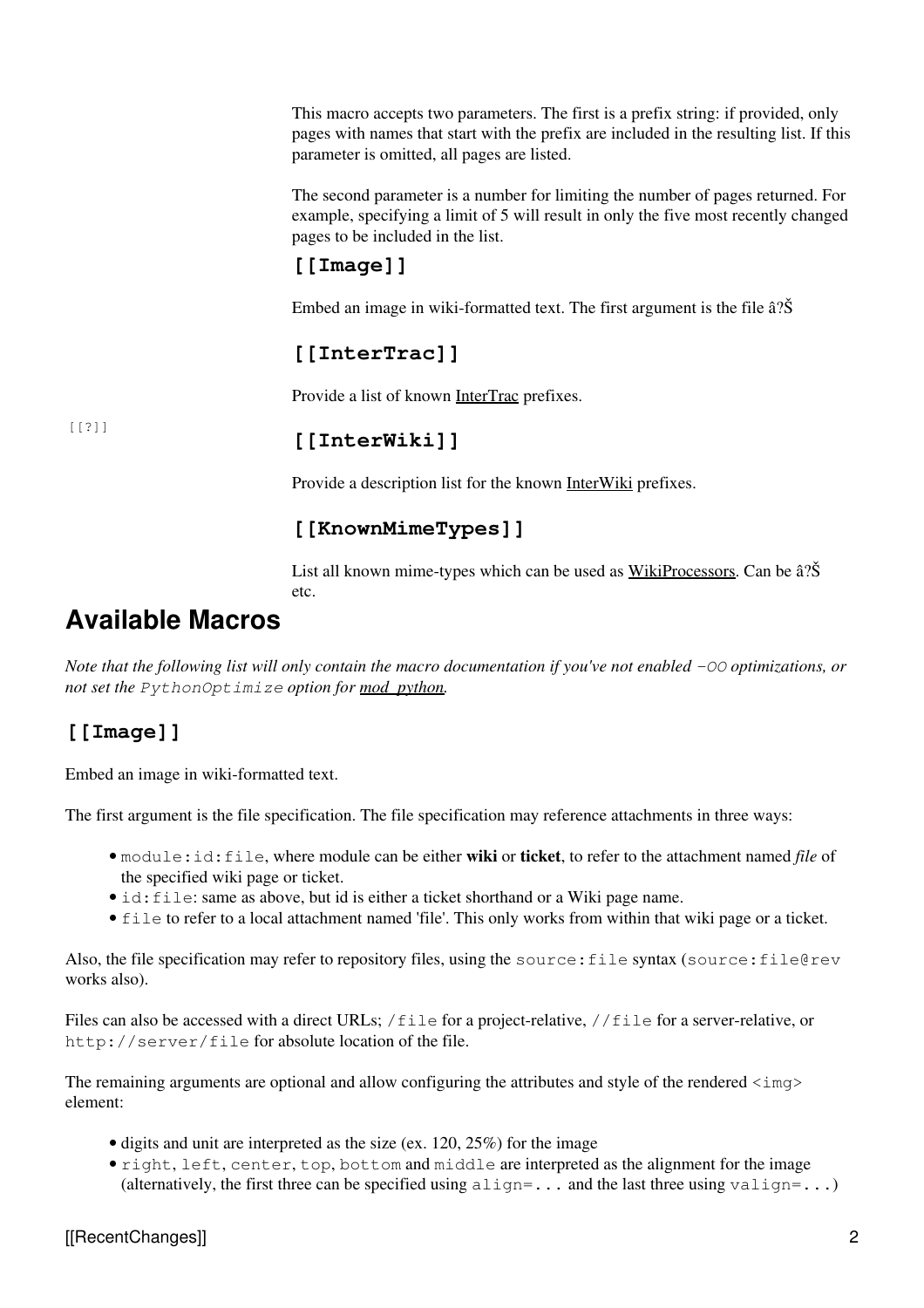This macro accepts two parameters. The first is a prefix string: if provided, only pages with names that start with the prefix are included in the resulting list. If this parameter is omitted, all pages are listed.

The second parameter is a number for limiting the number of pages returned. For example, specifying a limit of 5 will result in only the five most recently changed pages to be included in the list.

### **[[Image]]**

Embed an image in wiki-formatted text. The first argument is the file â?Š

### **[[InterTrac]]**

Provide a list of known **InterTrac** prefixes.

[[?]]

### **[[InterWiki]]**

Provide a description list for the known **InterWiki** prefixes.

### **[[KnownMimeTypes]]**

List all known mime-types which can be used as WikiProcessors. Can be â?Š etc.

## <span id="page-1-0"></span>**Available Macros**

*Note that the following list will only contain the macro documentation if you've not enabled -OO optimizations, or not set the PythonOptimize option for mod\_python.*

### **[[Image]]**

Embed an image in wiki-formatted text.

The first argument is the file specification. The file specification may reference attachments in three ways:

- module:id:file, where module can be either **wiki** or **ticket**, to refer to the attachment named *file* of the specified wiki page or ticket.
- id: file: same as above, but id is either a ticket shorthand or a Wiki page name.
- file to refer to a local attachment named 'file'. This only works from within that wiki page or a ticket.

Also, the file specification may refer to repository files, using the source:file syntax (source:file@rev works also).

Files can also be accessed with a direct URLs; /file for a project-relative, //file for a server-relative, or http://server/file for absolute location of the file.

The remaining arguments are optional and allow configuring the attributes and style of the rendered  $\langle\text{img}\rangle$ element:

- digits and unit are interpreted as the size (ex. 120, 25%) for the image
- right, left, center, top, bottom and middle are interpreted as the alignment for the image (alternatively, the first three can be specified using  $\alpha$ lign=... and the last three using valign=...)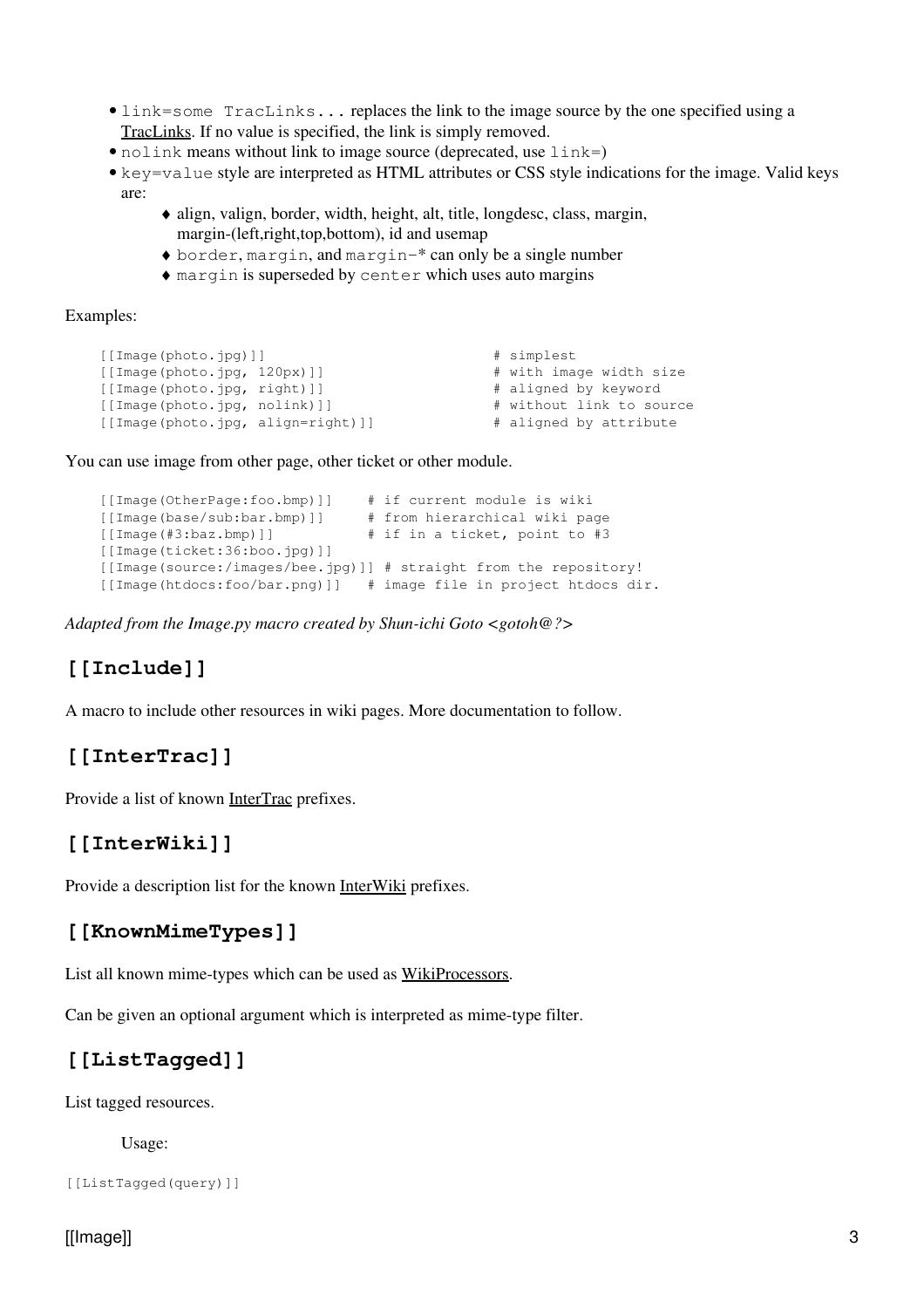- link=some TracLinks... replaces the link to the image source by the one specified using a TracLinks. If no value is specified, the link is simply removed.
- nolink means without link to image source (deprecated, use  $link =$ )
- key=value style are interpreted as HTML attributes or CSS style indications for the image. Valid keys are:
	- align, valign, border, width, height, alt, title, longdesc, class, margin, ♦ margin-(left,right,top,bottom), id and usemap
	- ♦ border, margin, and margin-\* can only be a single number
	- ♦ margin is superseded by center which uses auto margins

#### Examples:

```
 [[Image(photo.jpg)]] # simplest
 [[Image(photo.jpg, 120px)]] # with image width size
 [[Image(photo.jpg, right)]] # aligned by keyword
 [[Image(photo.jpg, nolink)]] # without link to source
 [[Image(photo.jpg, align=right)]] # aligned by attribute
```
You can use image from other page, other ticket or other module.

```
 [[Image(OtherPage:foo.bmp)]] # if current module is wiki
 [[Image(base/sub:bar.bmp)]] # from hierarchical wiki page
[[Image(#3:baz.bmp)]] # if in a ticket, point to #3
 [[Image(ticket:36:boo.jpg)]]
 [[Image(source:/images/bee.jpg)]] # straight from the repository!
 [[Image(htdocs:foo/bar.png)]] # image file in project htdocs dir.
```
*Adapted from the Image.py macro created by Shun-ichi Goto <gotoh@?>*

### **[[Include]]**

A macro to include other resources in wiki pages. More documentation to follow.

### **[[InterTrac]]**

Provide a list of known **InterTrac** prefixes.

### **[[InterWiki]]**

Provide a description list for the known InterWiki prefixes.

#### **[[KnownMimeTypes]]**

List all known mime-types which can be used as WikiProcessors.

Can be given an optional argument which is interpreted as mime-type filter.

### **[[ListTagged]]**

List tagged resources.

Usage:

```
[[ListTagged(query)]]
```
#### [[Image]] 3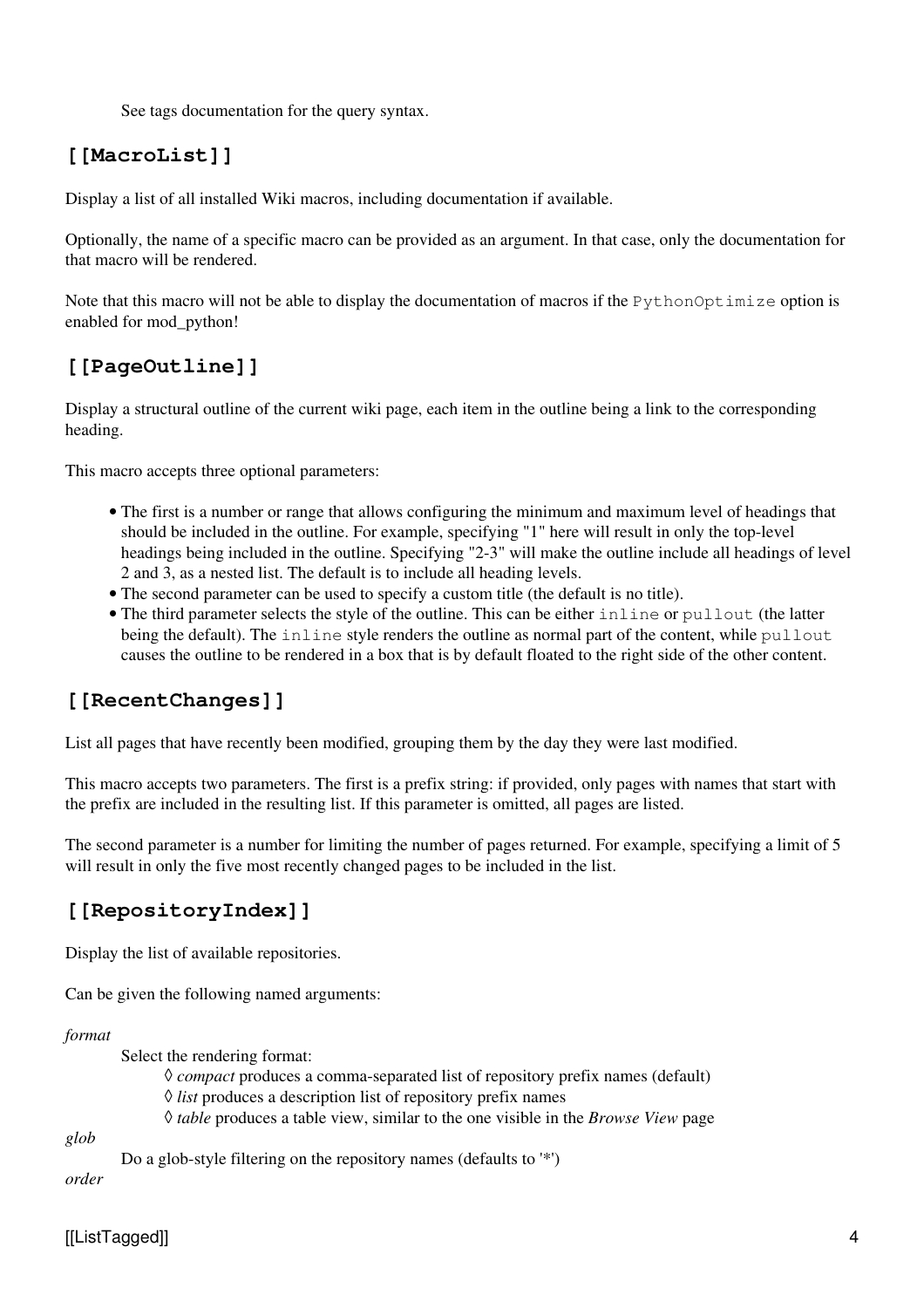See tags documentation for the query syntax.

### **[[MacroList]]**

Display a list of all installed Wiki macros, including documentation if available.

Optionally, the name of a specific macro can be provided as an argument. In that case, only the documentation for that macro will be rendered.

Note that this macro will not be able to display the documentation of macros if the PythonOptimize option is enabled for mod\_python!

### **[[PageOutline]]**

Display a structural outline of the current wiki page, each item in the outline being a link to the corresponding heading.

This macro accepts three optional parameters:

- The first is a number or range that allows configuring the minimum and maximum level of headings that should be included in the outline. For example, specifying "1" here will result in only the top-level headings being included in the outline. Specifying "2-3" will make the outline include all headings of level 2 and 3, as a nested list. The default is to include all heading levels.
- The second parameter can be used to specify a custom title (the default is no title).
- The third parameter selects the style of the outline. This can be either inline or pullout (the latter being the default). The inline style renders the outline as normal part of the content, while pullout causes the outline to be rendered in a box that is by default floated to the right side of the other content.

### **[[RecentChanges]]**

List all pages that have recently been modified, grouping them by the day they were last modified.

This macro accepts two parameters. The first is a prefix string: if provided, only pages with names that start with the prefix are included in the resulting list. If this parameter is omitted, all pages are listed.

The second parameter is a number for limiting the number of pages returned. For example, specifying a limit of 5 will result in only the five most recently changed pages to be included in the list.

### **[[RepositoryIndex]]**

Display the list of available repositories.

Can be given the following named arguments:

*format*

Select the rendering format:

◊ *compact* produces a comma-separated list of repository prefix names (default)

◊ *list* produces a description list of repository prefix names

```
◊ table produces a table view, similar to the one visible in the Browse View page
```
*glob*

Do a glob-style filtering on the repository names (defaults to '\*')

*order*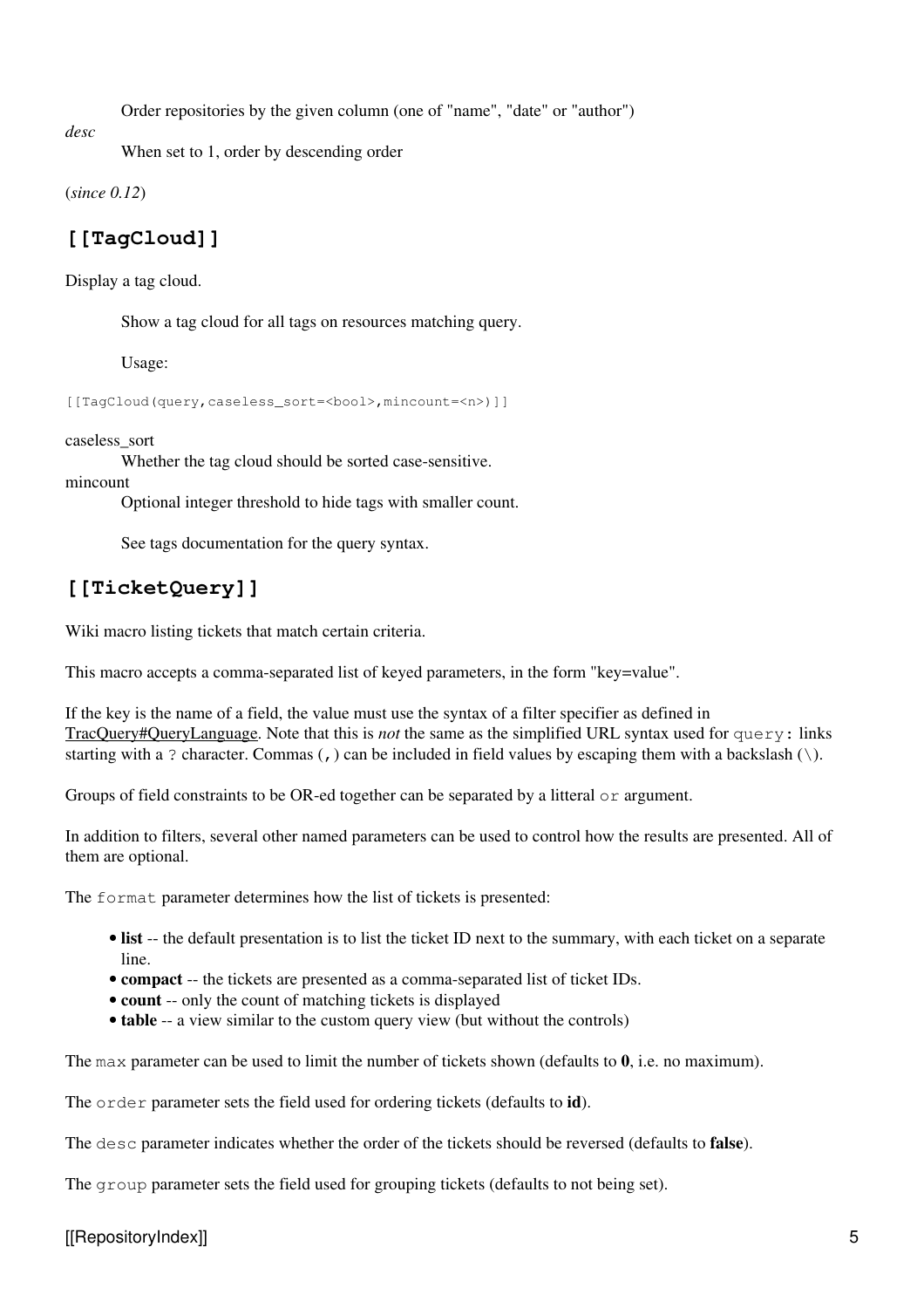Order repositories by the given column (one of "name", "date" or "author")

*desc*

When set to 1, order by descending order

(*since 0.12*)

### **[[TagCloud]]**

Display a tag cloud.

Show a tag cloud for all tags on resources matching query.

Usage:

[[TagCloud(query,caseless\_sort=<bool>,mincount=<n>)]]

caseless\_sort

Whether the tag cloud should be sorted case-sensitive.

mincount

Optional integer threshold to hide tags with smaller count.

See tags documentation for the query syntax.

### **[[TicketQuery]]**

Wiki macro listing tickets that match certain criteria.

This macro accepts a comma-separated list of keyed parameters, in the form "key=value".

If the key is the name of a field, the value must use the syntax of a filter specifier as defined in TracQuery#QueryLanguage. Note that this is *not* the same as the simplified URL syntax used for query: links starting with a ? character. Commas (,) can be included in field values by escaping them with a backslash  $(\cdot)$ .

Groups of field constraints to be OR-ed together can be separated by a litteral  $\circ$  argument.

In addition to filters, several other named parameters can be used to control how the results are presented. All of them are optional.

The format parameter determines how the list of tickets is presented:

- list -- the default presentation is to list the ticket ID next to the summary, with each ticket on a separate line.
- **compact** -- the tickets are presented as a comma-separated list of ticket IDs.
- **count** -- only the count of matching tickets is displayed
- **table** -- a view similar to the custom query view (but without the controls)

The max parameter can be used to limit the number of tickets shown (defaults to **0**, i.e. no maximum).

The order parameter sets the field used for ordering tickets (defaults to **id**).

The desc parameter indicates whether the order of the tickets should be reversed (defaults to **false**).

The group parameter sets the field used for grouping tickets (defaults to not being set).

[[RepositoryIndex]] 5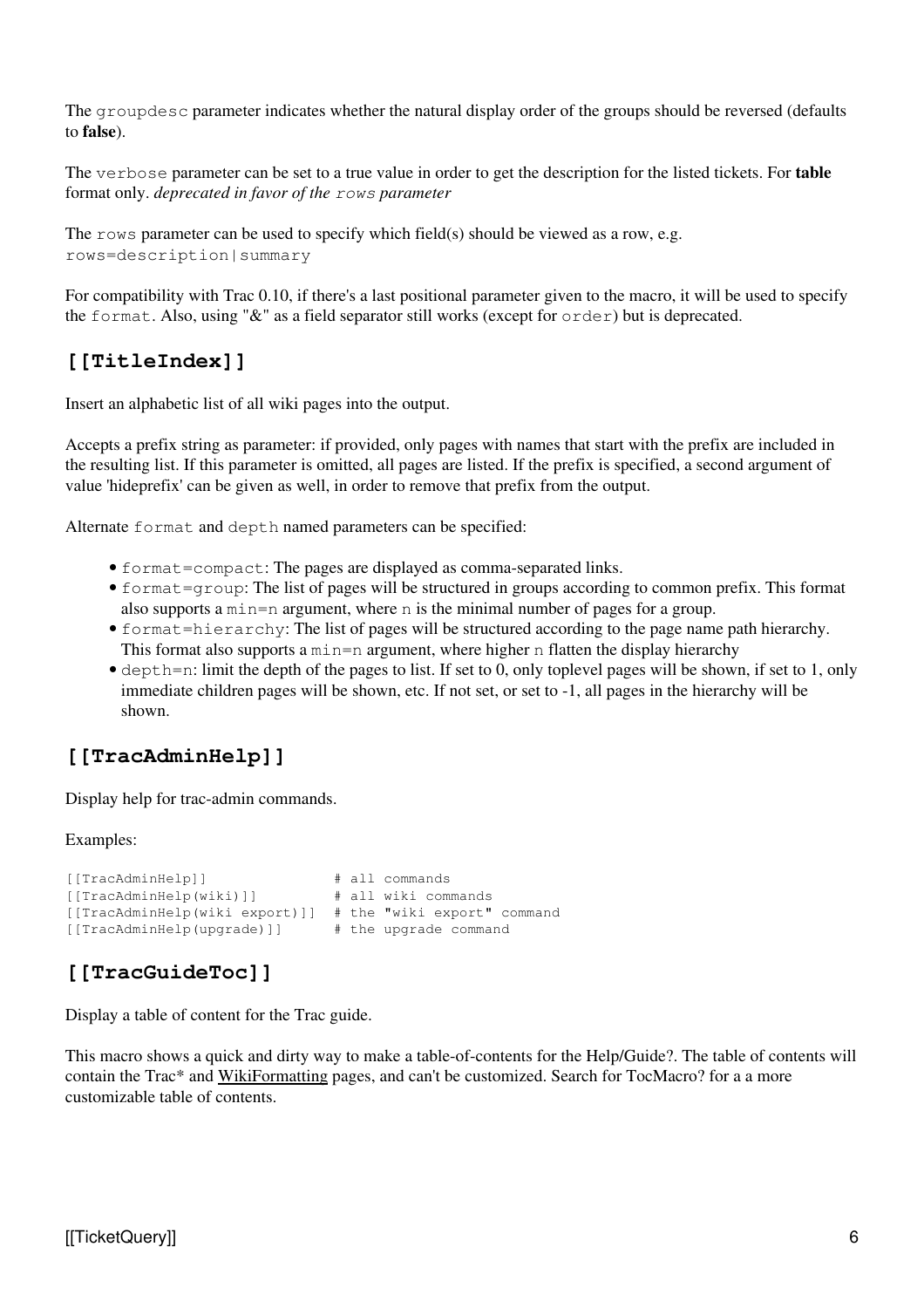The groupdesc parameter indicates whether the natural display order of the groups should be reversed (defaults to **false**).

The verbose parameter can be set to a true value in order to get the description for the listed tickets. For **table** format only. *deprecated in favor of the rows parameter*

The rows parameter can be used to specify which field(s) should be viewed as a row, e.g. rows=description|summary

For compatibility with Trac 0.10, if there's a last positional parameter given to the macro, it will be used to specify the format. Also, using "&" as a field separator still works (except for order) but is deprecated.

### **[[TitleIndex]]**

Insert an alphabetic list of all wiki pages into the output.

Accepts a prefix string as parameter: if provided, only pages with names that start with the prefix are included in the resulting list. If this parameter is omitted, all pages are listed. If the prefix is specified, a second argument of value 'hideprefix' can be given as well, in order to remove that prefix from the output.

Alternate format and depth named parameters can be specified:

- format=compact: The pages are displayed as comma-separated links.
- format=group: The list of pages will be structured in groups according to common prefix. This format also supports a min=n argument, where n is the minimal number of pages for a group.
- format=hierarchy: The list of pages will be structured according to the page name path hierarchy. This format also supports a  $min=n$  argument, where higher n flatten the display hierarchy
- depth=n: limit the depth of the pages to list. If set to 0, only toplevel pages will be shown, if set to 1, only immediate children pages will be shown, etc. If not set, or set to -1, all pages in the hierarchy will be shown.

### **[[TracAdminHelp]]**

Display help for trac-admin commands.

#### Examples:

```
[[TracAdminHelp]] # all commands
[[TracAdminHelp(wiki)]] # all wiki commands
[[TracAdminHelp(wiki export)]] # the "wiki export" command
[[TracAdminHelp(upgrade)]] # the upgrade command
```
### **[[TracGuideToc]]**

Display a table of content for the Trac guide.

This macro shows a quick and dirty way to make a table-of-contents for the Help/Guide?. The table of contents will contain the Trac\* and WikiFormatting pages, and can't be customized. Search for TocMacro? for a a more customizable table of contents.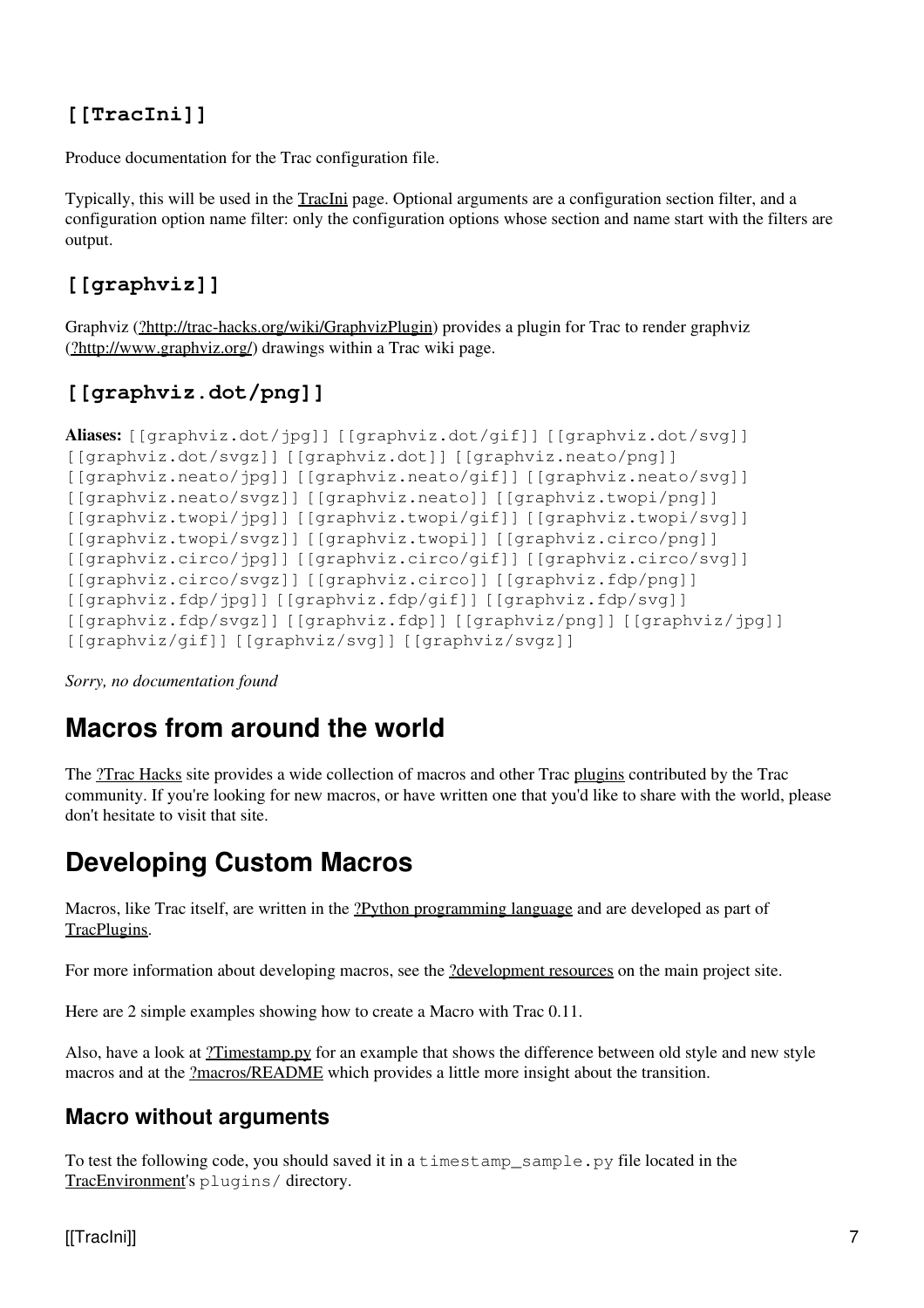### **[[TracIni]]**

Produce documentation for the Trac configuration file.

Typically, this will be used in the TracIni page. Optional arguments are a configuration section filter, and a configuration option name filter: only the configuration options whose section and name start with the filters are output.

### **[[graphviz]]**

Graphviz [\(?http://trac-hacks.org/wiki/GraphvizPlugin](http://trac-hacks.org/wiki/GraphvizPlugin)) provides a plugin for Trac to render graphviz ([?http://www.graphviz.org/](http://www.graphviz.org/)) drawings within a Trac wiki page.

### **[[graphviz.dot/png]]**

```
Aliases: [[graphviz.dot/jpg]] [[graphviz.dot/gif]] [[graphviz.dot/svg]]
[[graphviz.dot/svgz]] [[graphviz.dot]] [[graphviz.neato/png]]
[[graphviz.neato/jpg]] [[graphviz.neato/gif]] [[graphviz.neato/svg]]
[[graphviz.neato/svgz]] [[graphviz.neato]] [[graphviz.twopi/png]]
[[graphviz.twopi/jpg]] [[graphviz.twopi/gif]] [[graphviz.twopi/svg]]
[[graphviz.twopi/svgz]] [[graphviz.twopi]] [[graphviz.circo/png]]
[[graphviz.circo/jpg]] [[graphviz.circo/gif]] [[graphviz.circo/svg]]
[[graphviz.circo/svgz]] [[graphviz.circo]] [[graphviz.fdp/png]]
[[graphviz.fdp/jpg]] [[graphviz.fdp/gif]] [[graphviz.fdp/svg]]
[[graphviz.fdp/svgz]] [[graphviz.fdp]] [[graphviz/png]] [[graphviz/jpg]]
[[graphviz/gif]] [[graphviz/svg]] [[graphviz/svgz]]
```
<span id="page-6-0"></span>*Sorry, no documentation found*

# **Macros from around the world**

The [?Trac Hacks](http://trac-hacks.org/) site provides a wide collection of macros and other Trac plugins contributed by the Trac community. If you're looking for new macros, or have written one that you'd like to share with the world, please don't hesitate to visit that site.

# <span id="page-6-1"></span>**Developing Custom Macros**

Macros, like Trac itself, are written in the [?Python programming language](http://python.org/) and are developed as part of TracPlugins.

For more information about developing macros, see the <u>?development resources</u> on the main project site.

Here are 2 simple examples showing how to create a Macro with Trac 0.11.

Also, have a look at [?Timestamp.py](http://trac.edgewall.org/intertrac/source%3Atags/trac-0.11/sample-plugins/Timestamp.py) for an example that shows the difference between old style and new style macros and at the [?macros/README](http://trac.edgewall.org/intertrac/source%3Atags/trac-0.11/wiki-macros/README) which provides a little more insight about the transition.

### <span id="page-6-2"></span>**Macro without arguments**

To test the following code, you should saved it in a timestamp\_sample.py file located in the TracEnvironment's plugins/ directory.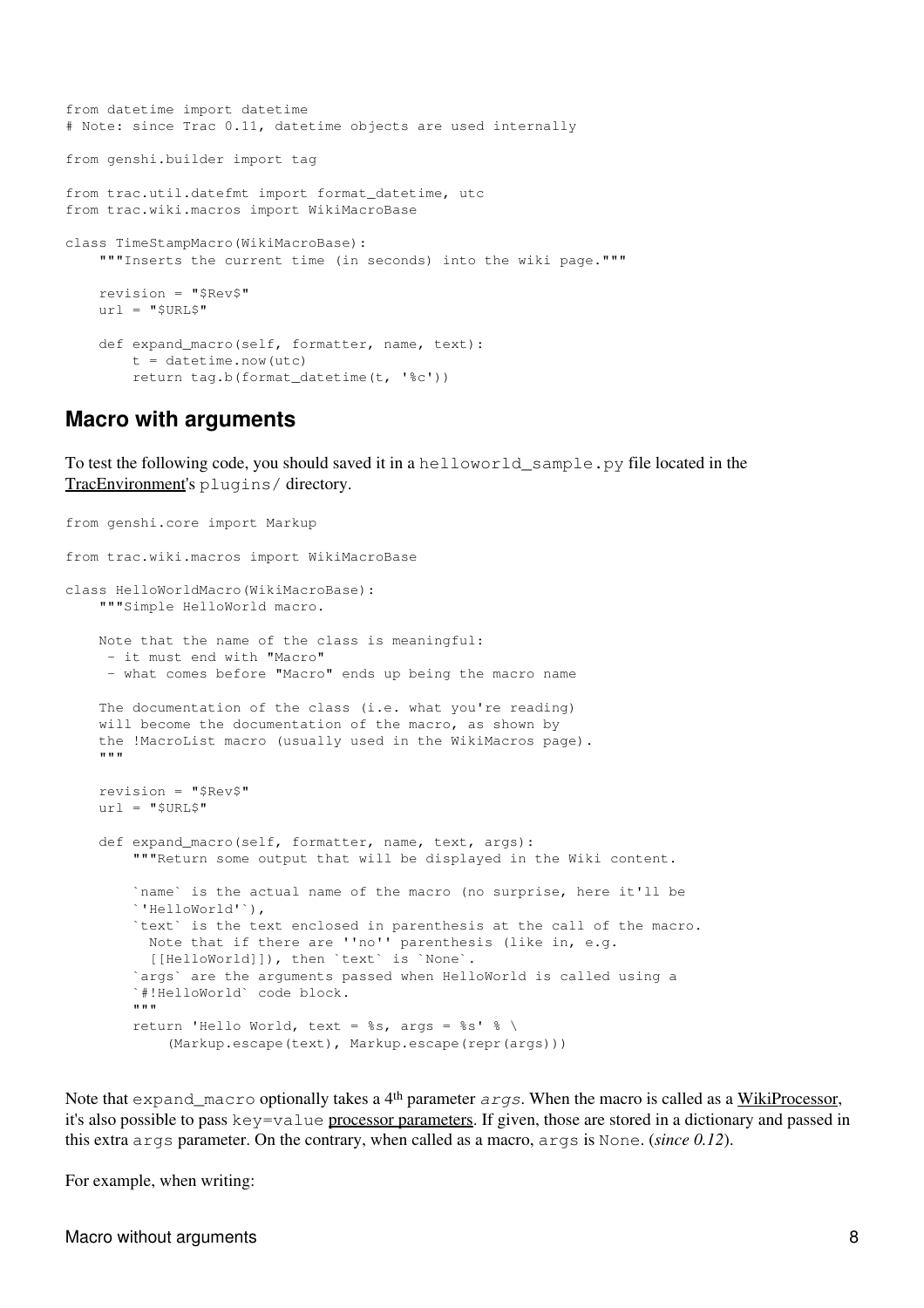```
from datetime import datetime
# Note: since Trac 0.11, datetime objects are used internally
from genshi.builder import tag
from trac.util.datefmt import format_datetime, utc
from trac.wiki.macros import WikiMacroBase
class TimeStampMacro(WikiMacroBase):
   """Inserts the current time (in seconds) into the wiki page."""
    revision = "$Rev$"
   url = "SURL$"def expand_macro(self, formatter, name, text):
        t = datetime.now(ute)return tag.b(format_datetime(t, '%c'))
```
#### <span id="page-7-0"></span>**Macro with arguments**

To test the following code, you should saved it in a helloworld\_sample.py file located in the TracEnvironment's plugins/ directory.

```
from genshi.core import Markup
from trac.wiki.macros import WikiMacroBase
class HelloWorldMacro(WikiMacroBase):
    """Simple HelloWorld macro.
     Note that the name of the class is meaningful:
      - it must end with "Macro"
      - what comes before "Macro" ends up being the macro name
     The documentation of the class (i.e. what you're reading)
    will become the documentation of the macro, as shown by
     the !MacroList macro (usually used in the WikiMacros page).
    . . . .
     revision = "$Rev$"
    url = "SURL$"def expand_macro(self, formatter, name, text, args):
        """Return some output that will be displayed in the Wiki content.
         `name` is the actual name of the macro (no surprise, here it'll be
         `'HelloWorld'`),
        `text` is the text enclosed in parenthesis at the call of the macro.
          Note that if there are ''no'' parenthesis (like in, e.g.
           [[HelloWorld]]), then `text` is `None`.
         `args` are the arguments passed when HelloWorld is called using a
         `#!HelloWorld` code block.
        "" "
        return 'Hello World, text = %s, args = %s' % \
            (Markup.escape(text), Markup.escape(repr(args)))
```
Note that expand macro optionally takes a 4<sup>th</sup> parameter *args*. When the macro is called as a WikiProcessor, it's also possible to pass key=value processor parameters. If given, those are stored in a dictionary and passed in this extra args parameter. On the contrary, when called as a macro, args is None. (*since 0.12*).

For example, when writing:

Macro without arguments 8